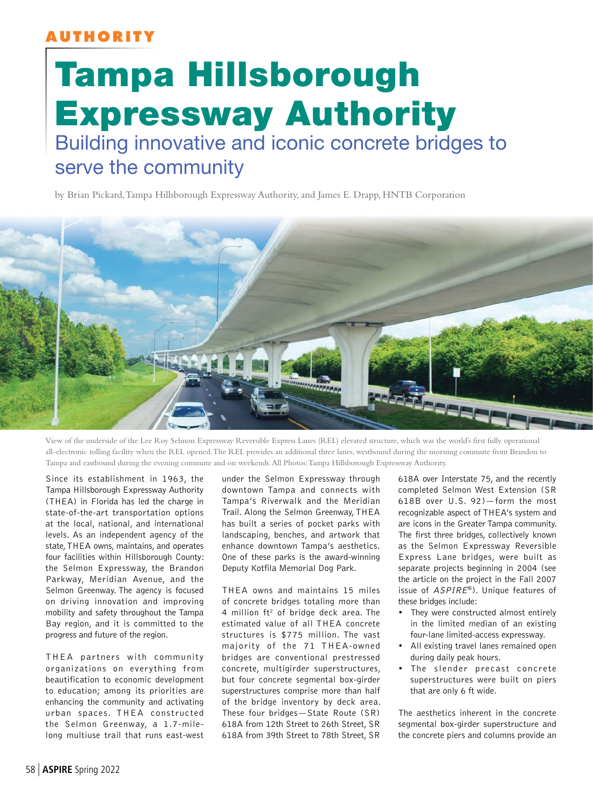## **AUTHORITY**

## Tampa Hillsborough Expressway Authority Building innovative and iconic concrete bridges to serve the community

by Brian Pickard, Tampa Hillsborough Expressway Authority, and James E. Drapp, HNTB Corporation



View of the underside of the Lee Roy Selmon Expressway Reversible Express Lanes (REL) elevated structure, which was the world's first fully operational all-electronic tolling facility when the REL opened. The REL provides an additional three lanes, westbound during the morning commute from Brandon to Tampa and eastbound during the evening commute and on weekends. All Photos: Tampa Hillsborough Expressway Authority.

Since its establishment in 1963, the Tampa Hillsborough Expressway Authority (THEA) in Florida has led the charge in state-of-the-art transportation options at the local, national, and international levels. As an independent agency of the state, THEA owns, maintains, and operates four facilities within Hillsborough County: the Selmon Expressway, the Brandon Parkway, Meridian Avenue, and the Selmon Greenway. The agency is focused on driving innovation and improving mobility and safety throughout the Tampa Bay region, and it is committed to the progress and future of the region.

THEA partners with community organizations on everything from beautification to economic development to education; among its priorities are enhancing the community and activating urban spaces. THEA constructed the Selmon Greenway, a 1.7-milelong multiuse trail that runs east-west under the Selmon Expressway through downtown Tampa and connects with Tampa's Riverwalk and the Meridian Trail. Along the Selmon Greenway, THEA has built a series of pocket parks with landscaping, benches, and artwork that enhance downtown Tampa's aesthetics. One of these parks is the award-winning Deputy Kotfila Memorial Dog Park.

THEA owns and maintains 15 miles of concrete bridges totaling more than 4 million  $ft^2$  of bridge deck area. The estimated value of all THEA concrete structures is \$775 million. The vast majority of the 71 THEA-owned bridges are conventional prestressed concrete, multigirder superstructures, but four concrete segmental box-girder superstructures comprise more than half of the bridge inventory by deck area. These four bridges—State Route (SR) 618A from 12th Street to 26th Street, SR 618A from 39th Street to 78th Street, SR

618A over Interstate 75, and the recently completed Selmon West Extension (SR 618B over U.S. 92)—form the most recognizable aspect of THEA's system and are icons in the Greater Tampa community. The first three bridges, collectively known as the Selmon Expressway Reversible Express Lane bridges, were built as separate projects beginning in 2004 (see the article on the project in the Fall 2007 issue of ASPIRE®). Unique features of these bridges include:

- They were constructed almost entirely in the limited median of an existing four-lane limited-access expressway.
- All existing travel lanes remained open during daily peak hours.
- The slender precast concrete superstructures were built on piers that are only 6 ft wide.

The aesthetics inherent in the concrete segmental box-girder superstructure and the concrete piers and columns provide an